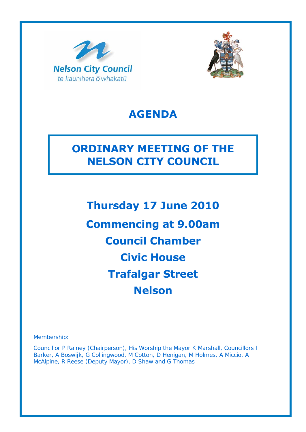



# **AGENDA**

# **ORDINARY MEETING OF THE NELSON CITY COUNCIL**

**Thursday 17 June 2010 Commencing at 9.00am Council Chamber Civic House Trafalgar Street Nelson** 

Membership:

Councillor P Rainey (Chairperson), His Worship the Mayor K Marshall, Councillors I Barker, A Boswijk, G Collingwood, M Cotton, D Henigan, M Holmes, A Miccio, A McAlpine, R Reese (Deputy Mayor), D Shaw and G Thomas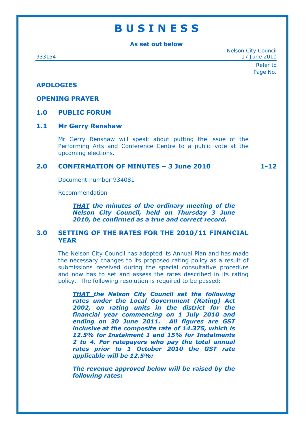# **B U S I N E S S**

**As set out below** 

Nelson City Council 933154 17 June 2010

> Refer to Page No.

## **APOLOGIES**

## **OPENING PRAYER**

# **1.0 PUBLIC FORUM**

## **1.1 Mr Gerry Renshaw**

Mr Gerry Renshaw will speak about putting the issue of the Performing Arts and Conference Centre to a public vote at the upcoming elections.

# **2.0 CONFIRMATION OF MINUTES – 3 June 2010 1-12**

Document number 934081

Recommendation

*THAT the minutes of the ordinary meeting of the Nelson City Council, held on Thursday 3 June 2010, be confirmed as a true and correct record.*

# **3.0 SETTING OF THE RATES FOR THE 2010/11 FINANCIAL YEAR**

The Nelson City Council has adopted its Annual Plan and has made the necessary changes to its proposed rating policy as a result of submissions received during the special consultative procedure and now has to set and assess the rates described in its rating policy. The following resolution is required to be passed:

*THAT the Nelson City Council set the following rates under the Local Government (Rating) Act 2002, on rating units in the district for the financial year commencing on 1 July 2010 and ending on 30 June 2011. All figures are GST inclusive at the composite rate of 14.375, which is 12.5% for Instalment 1 and 15% for Instalments 2 to 4. For ratepayers who pay the total annual rates prior to 1 October 2010 the GST rate applicable will be 12.5%:* 

*The revenue approved below will be raised by the following rates:*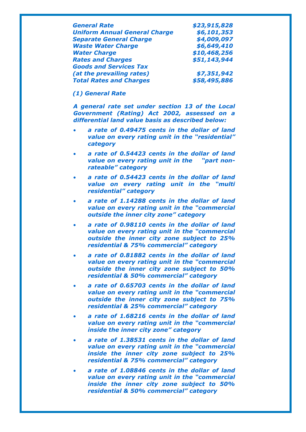| <b>General Rate</b>                  | \$23,915,828 |
|--------------------------------------|--------------|
| <b>Uniform Annual General Charge</b> | \$6,101,353  |
| <b>Separate General Charge</b>       | \$4,009,097  |
| <b>Waste Water Charge</b>            | \$6,649,410  |
| <b>Water Charge</b>                  | \$10,468,256 |
| <b>Rates and Charges</b>             | \$51,143,944 |
| <b>Goods and Services Tax</b>        |              |
| (at the prevailing rates)            | \$7,351,942  |
| <b>Total Rates and Charges</b>       | \$58,495,886 |

## *(1) General Rate*

*A general rate set under section 13 of the Local Government (Rating) Act 2002, assessed on a differential land value basis as described below:* 

- *a rate of 0.49475 cents in the dollar of land value on every rating unit in the "residential" category*
- *a rate of 0.54423 cents in the dollar of land value on every rating unit in the "part nonrateable" category*
- *a rate of 0.54423 cents in the dollar of land value on every rating unit in the "multi residential" category*
- *a rate of 1.14288 cents in the dollar of land value on every rating unit in the "commercial outside the inner city zone" category*
- *a rate of 0.98110 cents in the dollar of land value on every rating unit in the "commercial outside the inner city zone subject to 25% residential & 75% commercial" category*
- *a rate of 0.81882 cents in the dollar of land value on every rating unit in the "commercial outside the inner city zone subject to 50% residential & 50% commercial" category*
- *a rate of 0.65703 cents in the dollar of land value on every rating unit in the "commercial outside the inner city zone subject to 75% residential & 25% commercial" category*
- *a rate of 1.68216 cents in the dollar of land value on every rating unit in the "commercial inside the inner city zone" category*
- *a rate of 1.38531 cents in the dollar of land value on every rating unit in the "commercial inside the inner city zone subject to 25% residential & 75% commercial" category*
- *a rate of 1.08846 cents in the dollar of land value on every rating unit in the "commercial inside the inner city zone subject to 50% residential & 50% commercial" category*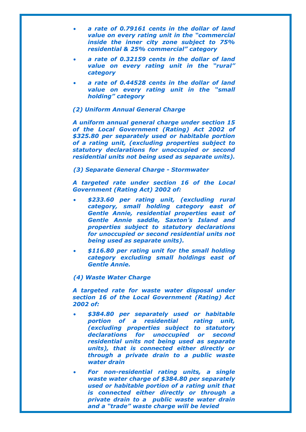- *a rate of 0.79161 cents in the dollar of land value on every rating unit in the "commercial inside the inner city zone subject to 75% residential & 25% commercial" category*
- *a rate of 0.32159 cents in the dollar of land value on every rating unit in the "rural" category*
- *a rate of 0.44528 cents in the dollar of land value on every rating unit in the "small holding" category*

### *(2) Uniform Annual General Charge*

*A uniform annual general charge under section 15 of the Local Government (Rating) Act 2002 of \$325.80 per separately used or habitable portion of a rating unit, (excluding properties subject to statutory declarations for unoccupied or second residential units not being used as separate units).* 

### *(3) Separate General Charge - Stormwater*

*A targeted rate under section 16 of the Local Government (Rating Act) 2002 of:* 

- *\$233.60 per rating unit, (excluding rural category, small holding category east of Gentle Annie, residential properties east of Gentle Annie saddle, Saxton's Island and properties subject to statutory declarations for unoccupied or second residential units not being used as separate units).*
- *\$116.80 per rating unit for the small holding category excluding small holdings east of Gentle Annie.*

### *(4) Waste Water Charge*

*A targeted rate for waste water disposal under section 16 of the Local Government (Rating) Act 2002 of:* 

- *\$384.80 per separately used or habitable portion of a residential rating unit, (excluding properties subject to statutory declarations for unoccupied or second residential units not being used as separate units), that is connected either directly or through a private drain to a public waste water drain*
- *For non-residential rating units, a single waste water charge of \$384.80 per separately used or habitable portion of a rating unit that is connected either directly or through a private drain to a public waste water drain and a "trade" waste charge will be levied*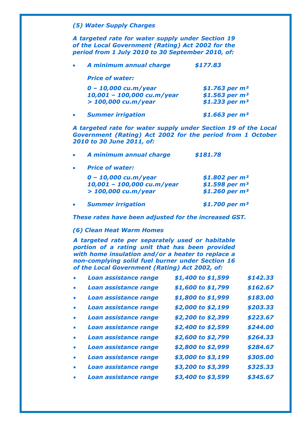## *(5) Water Supply Charges*

*A targeted rate for water supply under Section 19 of the Local Government (Rating) Act 2002 for the period from 1 July 2010 to 30 September 2010, of:* 

| A minimum annual charge    | \$177.83          |
|----------------------------|-------------------|
| <b>Price of water:</b>     |                   |
| $0 - 10,000$ cu.m/year     | \$1.763 per $m^3$ |
| 10,001 - 100,000 cu.m/year | \$1.563 per $m^3$ |
| $> 100,000$ cu.m/year      | \$1.233 per $m^3$ |
| <b>Summer irrigation</b>   | \$1.663 per $m3$  |

*A targeted rate for water supply under Section 19 of the Local Government (Rating) Act 2002 for the period from 1 October 2010 to 30 June 2011, of:* 

| A minimum annual charge |  | \$181.78 |
|-------------------------|--|----------|
|-------------------------|--|----------|

*Price of water:* 

| $0 - 10,000$ cu.m/year     | \$1.802 per $m^3$ |
|----------------------------|-------------------|
| 10,001 - 100,000 cu.m/year | \$1.598 per $m^3$ |
| $> 100,000$ cu.m/year      | \$1.260 per $m^3$ |

*Summer irrigation \$1.700 per m³* 

*These rates have been adjusted for the increased GST.* 

### *(6) Clean Heat Warm Homes*

*A targeted rate per separately used or habitable portion of a rating unit that has been provided with home insulation and/or a heater to replace a non-complying solid fuel burner under Section 16 of the Local Government (Rating) Act 2002, of:* 

| Loan assistance range        | \$1,400 to \$1,599 | \$142.33 |
|------------------------------|--------------------|----------|
| Loan assistance range        | \$1,600 to \$1,799 | \$162.67 |
| Loan assistance range        | \$1,800 to \$1,999 | \$183.00 |
| <b>Loan assistance range</b> | \$2,000 to \$2,199 | \$203.33 |
| Loan assistance range        | \$2,200 to \$2,399 | \$223.67 |
| <b>Loan assistance range</b> | \$2,400 to \$2,599 | \$244.00 |
| Loan assistance range        | \$2,600 to \$2,799 | \$264.33 |
| Loan assistance range        | \$2,800 to \$2,999 | \$284.67 |
| Loan assistance range        | \$3,000 to \$3,199 | \$305.00 |
| Loan assistance range        | \$3,200 to \$3,399 | \$325.33 |
| <b>Loan assistance range</b> | \$3,400 to \$3,599 | \$345.67 |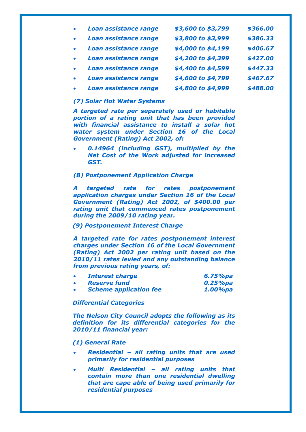| $\bullet$ | Loan assistance range | \$3,600 to \$3,799 | \$366.00 |
|-----------|-----------------------|--------------------|----------|
| $\bullet$ | Loan assistance range | \$3,800 to \$3,999 | \$386.33 |
| $\bullet$ | Loan assistance range | \$4,000 to \$4,199 | \$406.67 |
| $\bullet$ | Loan assistance range | \$4,200 to \$4,399 | \$427.00 |
| $\bullet$ | Loan assistance range | \$4,400 to \$4,599 | \$447.33 |
| $\bullet$ | Loan assistance range | \$4,600 to \$4,799 | \$467.67 |
| $\bullet$ | Loan assistance range | \$4,800 to \$4,999 | \$488.00 |

## *(7) Solar Hot Water Systems*

*A targeted rate per separately used or habitable portion of a rating unit that has been provided with financial assistance to install a solar hot water system under Section 16 of the Local Government (Rating) Act 2002, of:* 

 *0.14964 (including GST), multiplied by the Net Cost of the Work adjusted for increased GST.* 

#### *(8) Postponement Application Charge*

*A targeted rate for rates postponement application charges under Section 16 of the Local Government (Rating) Act 2002, of \$400.00 per rating unit that commenced rates postponement during the 2009/10 rating year.* 

#### *(9) Postponement Interest Charge*

*A targeted rate for rates postponement interest charges under Section 16 of the Local Government (Rating) Act 2002 per rating unit based on the 2010/11 rates levied and any outstanding balance from previous rating years, of:* 

| <b>Interest charge</b>        | 6.75%pa     |
|-------------------------------|-------------|
| <b>Reserve fund</b>           | $0.25\%$ pa |
| <b>Scheme application fee</b> | 1.00%pa     |

#### *Differential Categories*

*The Nelson City Council adopts the following as its definition for its differential categories for the 2010/11 financial year:* 

#### *(1) General Rate*

- *Residential all rating units that are used primarily for residential purposes*
- *Multi Residential all rating units that contain more than one residential dwelling that are cape able of being used primarily for residential purposes*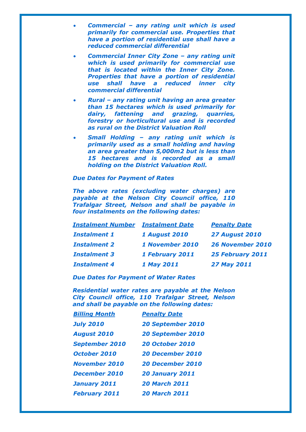- *Commercial any rating unit which is used primarily for commercial use. Properties that have a portion of residential use shall have a reduced commercial differential*
- *Commercial Inner City Zone any rating unit which is used primarily for commercial use that is located within the Inner City Zone. Properties that have a portion of residential use shall have a reduced inner city commercial differential*
- *Rural any rating unit having an area greater than 15 hectares which is used primarily for dairy, fattening and grazing, quarries, forestry or horticultural use and is recorded as rural on the District Valuation Roll*
- *Small Holding any rating unit which is primarily used as a small holding and having an area greater than 5,000m2 but is less than 15 hectares and is recorded as a small holding on the District Valuation Roll.*

### *Due Dates for Payment of Rates*

*The above rates (excluding water charges) are payable at the Nelson City Council office, 110 Trafalgar Street, Nelson and shall be payable in four instalments on the following dates:* 

| <b>Instalment Number</b> | <b>Instalment Date</b> | <b>Penalty Date</b>     |
|--------------------------|------------------------|-------------------------|
| <b>Instalment 1</b>      | <b>1 August 2010</b>   | <b>27 August 2010</b>   |
| <b>Instalment 2</b>      | 1 November 2010        | <b>26 November 2010</b> |
| <b>Instalment 3</b>      | 1 February 2011        | 25 February 2011        |
| <b>Instalment 4</b>      | 1 May 2011             | <b>27 May 2011</b>      |

*Due Dates for Payment of Water Rates* 

*Residential water rates are payable at the Nelson City Council office, 110 Trafalgar Street, Nelson and shall be payable on the following dates:* 

| <b>Billing Month</b>  | <b>Penalty Date</b>      |
|-----------------------|--------------------------|
| <b>July 2010</b>      | <b>20 September 2010</b> |
| <b>August 2010</b>    | <b>20 September 2010</b> |
| <b>September 2010</b> | <b>20 October 2010</b>   |
| <b>October 2010</b>   | <b>20 December 2010</b>  |
| <b>November 2010</b>  | <b>20 December 2010</b>  |
| <b>December 2010</b>  | <b>20 January 2011</b>   |
| January 2011          | <b>20 March 2011</b>     |
| <b>February 2011</b>  | <b>20 March 2011</b>     |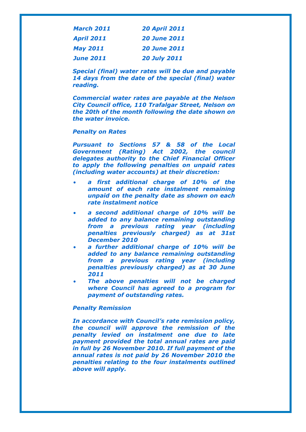| <b>March 2011</b> | <b>20 April 2011</b> |
|-------------------|----------------------|
| <b>April 2011</b> | <b>20 June 2011</b>  |
| <b>May 2011</b>   | <b>20 June 2011</b>  |
| <b>June 2011</b>  | <b>20 July 2011</b>  |

*Special (final) water rates will be due and payable 14 days from the date of the special (final) water reading.* 

*Commercial water rates are payable at the Nelson City Council office, 110 Trafalgar Street, Nelson on the 20th of the month following the date shown on the water invoice.* 

## *Penalty on Rates*

*Pursuant to Sections 57 & 58 of the Local Government (Rating) Act 2002, the council delegates authority to the Chief Financial Officer to apply the following penalties on unpaid rates (including water accounts) at their discretion:* 

- *a first additional charge of 10% of the amount of each rate instalment remaining unpaid on the penalty date as shown on each rate instalment notice*
- *a second additional charge of 10% will be added to any balance remaining outstanding from a previous rating year (including penalties previously charged) as at 31st December 2010*
- *a further additional charge of 10% will be added to any balance remaining outstanding from a previous rating year (including penalties previously charged) as at 30 June 2011*
- *The above penalties will not be charged where Council has agreed to a program for payment of outstanding rates.*

### *Penalty Remission*

*In accordance with Council's rate remission policy, the council will approve the remission of the penalty levied on instalment one due to late payment provided the total annual rates are paid in full by 26 November 2010. If full payment of the annual rates is not paid by 26 November 2010 the penalties relating to the four instalments outlined above will apply.*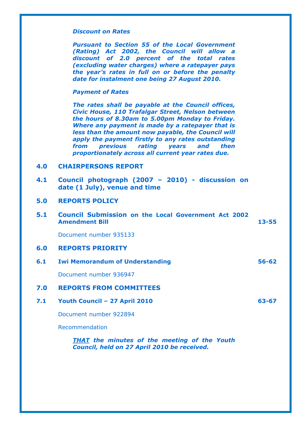## *Discount on Rates*

*Pursuant to Section 55 of the Local Government (Rating) Act 2002, the Council will allow a discount of 2.0 percent of the total rates (excluding water charges) where a ratepayer pays the year's rates in full on or before the penalty date for instalment one being 27 August 2010.* 

#### *Payment of Rates*

*The rates shall be payable at the Council offices, Civic House, 110 Trafalgar Street, Nelson between the hours of 8.30am to 5.00pm Monday to Friday. Where any payment is made by a ratepayer that is less than the amount now payable, the Council will apply the payment firstly to any rates outstanding from previous rating years and then proportionately across all current year rates due.* 

## **4.0 CHAIRPERSONS REPORT**

**4.1 Council photograph (2007 – 2010) - discussion on date (1 July), venue and time** 

# **5.0 REPORTS POLICY**

**5.1 Council Submission on the Local Government Act 2002 Amendment Bill 13-55**

Document number 935133

## **6.0 REPORTS PRIORITY**

## **6.1 Iwi Memorandum of Understanding 56-62**

Document number 936947

## **7.0 REPORTS FROM COMMITTEES**

**7.1 Youth Council – 27 April 2010 63-67** 

Document number 922894

Recommendation

*THAT the minutes of the meeting of the Youth Council, held on 27 April 2010 be received.*